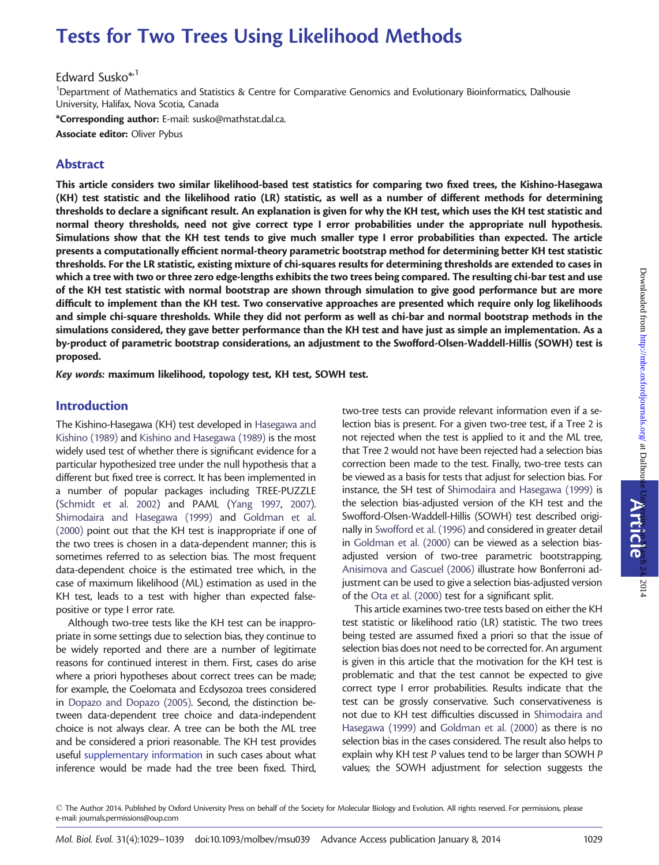# Downloaded from http://mbe.oxfordjournals.org/ at Dalhousie Uniquelity on March 24, 2014 Downloaded from <http://mbe.oxfordjournals.org/> at Dalhousie University on March 24, 2014

# Tests for Two Trees Using Likelihood Methods

Edward Susko<sup>\*</sup><sup>1</sup>

<sup>1</sup>Department of Mathematics and Statistics & Centre for Comparative Genomics and Evolutionary Bioinformatics, Dalhousie University, Halifax, Nova Scotia, Canada

\*Corresponding author: E-mail: susko@mathstat.dal.ca.

Associate editor: Oliver Pybus

## Abstract

This article considers two similar likelihood-based test statistics for comparing two fixed trees, the Kishino-Hasegawa (KH) test statistic and the likelihood ratio (LR) statistic, as well as a number of different methods for determining thresholds to declare a significant result. An explanation is given for why the KH test, which uses the KH test statistic and normal theory thresholds, need not give correct type I error probabilities under the appropriate null hypothesis. Simulations show that the KH test tends to give much smaller type I error probabilities than expected. The article presents a computationally efficient normal-theory parametric bootstrap method for determining better KH test statistic thresholds. For the LR statistic, existing mixture of chi-squares results for determining thresholds are extended to cases in which a tree with two or three zero edge-lengths exhibits the two trees being compared. The resulting chi-bar test and use of the KH test statistic with normal bootstrap are shown through simulation to give good performance but are more difficult to implement than the KH test. Two conservative approaches are presented which require only log likelihoods and simple chi-square thresholds. While they did not perform as well as chi-bar and normal bootstrap methods in the simulations considered, they gave better performance than the KH test and have just as simple an implementation. As a by-product of parametric bootstrap considerations, an adjustment to the Swofford-Olsen-Waddell-Hillis (SOWH) test is proposed.

Key words: maximum likelihood, topology test, KH test, SOWH test.

# Introduction

The Kishino-Hasegawa (KH) test developed in [Hasegawa and](#page-10-0) [Kishino \(1989\)](#page-10-0) and [Kishino and Hasegawa \(1989\)](#page-10-0) is the most widely used test of whether there is significant evidence for a particular hypothesized tree under the null hypothesis that a different but fixed tree is correct. It has been implemented in a number of popular packages including TREE-PUZZLE ([Schmidt et al. 2002\)](#page-10-0) and PAML [\(Yang 1997,](#page-10-0) [2007\)](#page-10-0). [Shimodaira and Hasegawa \(1999\)](#page-10-0) and [Goldman et al.](#page-10-0) [\(2000\)](#page-10-0) point out that the KH test is inappropriate if one of the two trees is chosen in a data-dependent manner; this is sometimes referred to as selection bias. The most frequent data-dependent choice is the estimated tree which, in the case of maximum likelihood (ML) estimation as used in the KH test, leads to a test with higher than expected falsepositive or type I error rate.

Although two-tree tests like the KH test can be inappropriate in some settings due to selection bias, they continue to be widely reported and there are a number of legitimate reasons for continued interest in them. First, cases do arise where a priori hypotheses about correct trees can be made; for example, the Coelomata and Ecdysozoa trees considered in [Dopazo and Dopazo \(2005\).](#page-9-0) Second, the distinction between data-dependent tree choice and data-independent choice is not always clear. A tree can be both the ML tree and be considered a priori reasonable. The KH test provides useful [supplementary information](http://mbe.oxfordjournals.org/lookup/suppl/doi:10.1093/molbev/msu039/-/DC1) in such cases about what inference would be made had the tree been fixed. Third,

two-tree tests can provide relevant information even if a selection bias is present. For a given two-tree test, if a Tree 2 is not rejected when the test is applied to it and the ML tree, that Tree 2 would not have been rejected had a selection bias correction been made to the test. Finally, two-tree tests can be viewed as a basis for tests that adjust for selection bias. For instance, the SH test of [Shimodaira and Hasegawa \(1999\)](#page-10-0) is the selection bias-adjusted version of the KH test and the Swofford-Olsen-Waddell-Hillis (SOWH) test described originally in [Swofford et al. \(1996\)](#page-10-0) and considered in greater detail in [Goldman et al. \(2000\)](#page-10-0) can be viewed as a selection biasadjusted version of two-tree parametric bootstrapping. [Anisimova and Gascuel \(2006\)](#page-9-0) illustrate how Bonferroni adjustment can be used to give a selection bias-adjusted version of the [Ota et al. \(2000\)](#page-10-0) test for a significant split.

This article examines two-tree tests based on either the KH test statistic or likelihood ratio (LR) statistic. The two trees being tested are assumed fixed a priori so that the issue of selection bias does not need to be corrected for. An argument is given in this article that the motivation for the KH test is problematic and that the test cannot be expected to give correct type I error probabilities. Results indicate that the test can be grossly conservative. Such conservativeness is not due to KH test difficulties discussed in [Shimodaira and](#page-10-0) [Hasegawa \(1999\)](#page-10-0) and [Goldman et al. \(2000\)](#page-10-0) as there is no selection bias in the cases considered. The result also helps to explain why KH test P values tend to be larger than SOWH P values; the SOWH adjustment for selection suggests the

 $\odot$  The Author 2014. Published by Oxford University Press on behalf of the Society for Molecular Biology and Evolution. All rights reserved. For permissions, please e-mail: journals.permissions@oup.com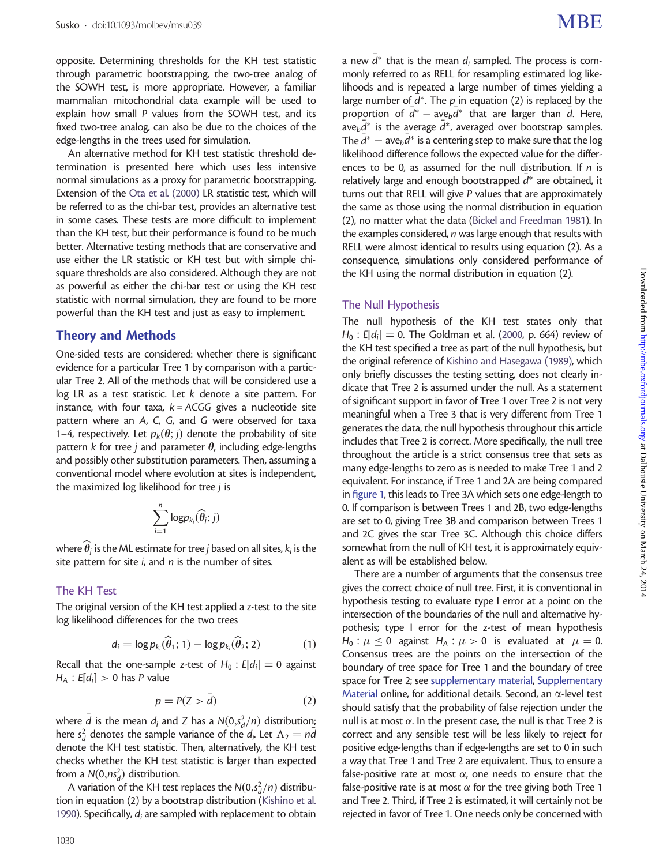opposite. Determining thresholds for the KH test statistic through parametric bootstrapping, the two-tree analog of the SOWH test, is more appropriate. However, a familiar mammalian mitochondrial data example will be used to explain how small P values from the SOWH test, and its fixed two-tree analog, can also be due to the choices of the edge-lengths in the trees used for simulation.

An alternative method for KH test statistic threshold determination is presented here which uses less intensive normal simulations as a proxy for parametric bootstrapping. Extension of the [Ota et al. \(2000\)](#page-10-0) LR statistic test, which will be referred to as the chi-bar test, provides an alternative test in some cases. These tests are more difficult to implement than the KH test, but their performance is found to be much better. Alternative testing methods that are conservative and use either the LR statistic or KH test but with simple chisquare thresholds are also considered. Although they are not as powerful as either the chi-bar test or using the KH test statistic with normal simulation, they are found to be more powerful than the KH test and just as easy to implement.

#### Theory and Methods

One-sided tests are considered: whether there is significant evidence for a particular Tree 1 by comparison with a particular Tree 2. All of the methods that will be considered use a log LR as a test statistic. Let k denote a site pattern. For instance, with four taxa,  $k = ACGG$  gives a nucleotide site pattern where an A, C, G, and G were observed for taxa 1–4, respectively. Let  $p_k(\theta; j)$  denote the probability of site pattern k for tree j and parameter  $\theta$ , including edge-lengths and possibly other substitution parameters. Then, assuming a conventional model where evolution at sites is independent, the maximized log likelihood for tree j is

$$
\sum_{i=1}^n \text{log} p_{k_i}(\widehat{\theta}_j; j)
$$

where  $\widehat{\theta}_i$  is the ML estimate for tree j based on all sites,  $k_i$  is the site pattern for site  $i$ , and  $n$  is the number of sites.

#### The KH Test

The original version of the KH test applied a z-test to the site log likelihood differences for the two trees

$$
d_i = \log p_{k_i}(\widehat{\boldsymbol{\theta}}_1; 1) - \log p_{k_i}(\widehat{\boldsymbol{\theta}}_2; 2) \tag{1}
$$

Recall that the one-sample z-test of  $H_0$ :  $E[d_i] = 0$  against  $H_A$ :  $E[d_i] > 0$  has P value

$$
p = P(Z > d) \tag{2}
$$

where  $\bar{d}$  is the mean  $d_i$  and Z has a  $N(0, s_d^2/n)$  distribution: here  $s_d^2$  denotes the sample variance of the  $d_i$ . Let  $\Lambda_2 = n\overline{d}$ denote the KH test statistic. Then, alternatively, the KH test checks whether the KH test statistic is larger than expected from a  $N(0, ns_d^2)$  distribution.

A variation of the KH test replaces the  $N(0, s_d^2/n)$  distribution in equation (2) by a bootstrap distribution ([Kishino et al.](#page-10-0) [1990\)](#page-10-0). Specifically,  $d_i$  are sampled with replacement to obtain

a new  $\bar{d}^*$  that is the mean  $d_i$  sampled. The process is commonly referred to as RELL for resampling estimated log likelihoods and is repeated a large number of times yielding a large number of  $\bar{d}^*$ . The p in equation (2) is replaced by the proportion of  $\bar{d}^* - \text{ave}_b \bar{d}^*$  that are larger than  $\bar{d}$ . Here,  $\bar{d}^*$  is the average  $\bar{d}^*$ , averaged over bootstrap samples. The  $\bar{d}^*$  – ave<sub>b</sub> $\bar{d}^*$  is a centering step to make sure that the log likelihood difference follows the expected value for the differences to be 0, as assumed for the null distribution. If  $n$  is relatively large and enough bootstrapped  $\bar{d}^*$  are obtained, it turns out that RELL will give P values that are approximately the same as those using the normal distribution in equation (2), no matter what the data [\(Bickel and Freedman 1981](#page-9-0)). In the examples considered, *n* was large enough that results with RELL were almost identical to results using equation (2). As a consequence, simulations only considered performance of the KH using the normal distribution in equation (2).

#### The Null Hypothesis

The null hypothesis of the KH test states only that  $H_0$ : E[d<sub>i</sub>] = 0. The Goldman et al. ([2000](#page-10-0), p. 664) review of the KH test specified a tree as part of the null hypothesis, but the original reference of [Kishino and Hasegawa \(1989\),](#page-10-0) which only briefly discusses the testing setting, does not clearly indicate that Tree 2 is assumed under the null. As a statement of significant support in favor of Tree 1 over Tree 2 is not very meaningful when a Tree 3 that is very different from Tree 1 generates the data, the null hypothesis throughout this article includes that Tree 2 is correct. More specifically, the null tree throughout the article is a strict consensus tree that sets as many edge-lengths to zero as is needed to make Tree 1 and 2 equivalent. For instance, if Tree 1 and 2A are being compared in [figure 1](#page-2-0), this leads to Tree 3A which sets one edge-length to 0. If comparison is between Trees 1 and 2B, two edge-lengths are set to 0, giving Tree 3B and comparison between Trees 1 and 2C gives the star Tree 3C. Although this choice differs somewhat from the null of KH test, it is approximately equivalent as will be established below.

There are a number of arguments that the consensus tree gives the correct choice of null tree. First, it is conventional in hypothesis testing to evaluate type I error at a point on the intersection of the boundaries of the null and alternative hypothesis; type I error for the z-test of mean hypothesis  $H_0: \mu \leq 0$  against  $H_A: \mu > 0$  is evaluated at  $\mu = 0$ . Consensus trees are the points on the intersection of the boundary of tree space for Tree 1 and the boundary of tree space for Tree 2; see [supplementary material](http://mbe.oxfordjournals.org/lookup/suppl/doi:10.1093/molbev/msu039/-/DC1), [Supplementary](http://mbe.oxfordjournals.org/lookup/suppl/doi:10.1093/molbev/msu039/-/DC1) [Material](http://mbe.oxfordjournals.org/lookup/suppl/doi:10.1093/molbev/msu039/-/DC1) online, for additional details. Second, an  $\alpha$ -level test should satisfy that the probability of false rejection under the null is at most  $\alpha$ . In the present case, the null is that Tree 2 is correct and any sensible test will be less likely to reject for positive edge-lengths than if edge-lengths are set to 0 in such a way that Tree 1 and Tree 2 are equivalent. Thus, to ensure a false-positive rate at most  $\alpha$ , one needs to ensure that the false-positive rate is at most  $\alpha$  for the tree giving both Tree 1 and Tree 2. Third, if Tree 2 is estimated, it will certainly not be rejected in favor of Tree 1. One needs only be concerned with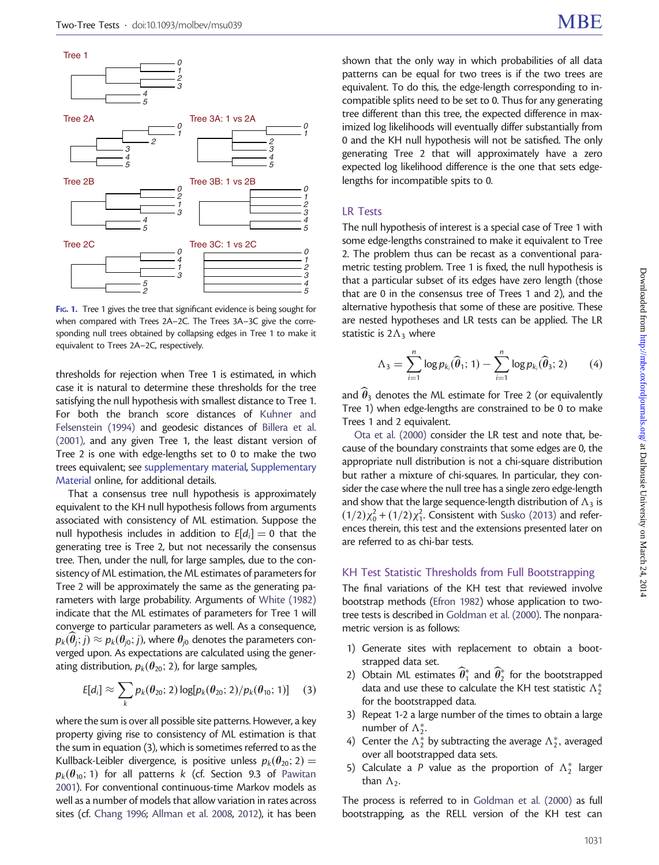<span id="page-2-0"></span>

FIG. 1. Tree 1 gives the tree that significant evidence is being sought for when compared with Trees 2A–2C. The Trees 3A–3C give the corresponding null trees obtained by collapsing edges in Tree 1 to make it equivalent to Trees 2A–2C, respectively.

thresholds for rejection when Tree 1 is estimated, in which case it is natural to determine these thresholds for the tree satisfying the null hypothesis with smallest distance to Tree 1. For both the branch score distances of [Kuhner and](#page-10-0) [Felsenstein \(1994\)](#page-10-0) and geodesic distances of [Billera et al.](#page-9-0) [\(2001\),](#page-9-0) and any given Tree 1, the least distant version of Tree 2 is one with edge-lengths set to 0 to make the two trees equivalent; see [supplementary material,](http://mbe.oxfordjournals.org/lookup/suppl/doi:10.1093/molbev/msu039/-/DC1) [Supplementary](http://mbe.oxfordjournals.org/lookup/suppl/doi:10.1093/molbev/msu039/-/DC1) [Material](http://mbe.oxfordjournals.org/lookup/suppl/doi:10.1093/molbev/msu039/-/DC1) online, for additional details.

That a consensus tree null hypothesis is approximately equivalent to the KH null hypothesis follows from arguments associated with consistency of ML estimation. Suppose the null hypothesis includes in addition to  $E[d_i] = 0$  that the generating tree is Tree 2, but not necessarily the consensus tree. Then, under the null, for large samples, due to the consistency of ML estimation, the ML estimates of parameters for Tree 2 will be approximately the same as the generating parameters with large probability. Arguments of [White \(1982\)](#page-10-0) indicate that the ML estimates of parameters for Tree 1 will converge to particular parameters as well. As a consequence,  $p_k(\theta_j;j)\approx p_k(\theta_{j0};j)$ , where  $\theta_{j0}$  denotes the parameters converged upon. As expectations are calculated using the generating distribution,  $p_k(\theta_{20}; 2)$ , for large samples,

$$
E[d_i] \approx \sum_{k} p_k(\theta_{20}; 2) \log[p_k(\theta_{20}; 2) / p_k(\theta_{10}; 1)] \quad (3)
$$

where the sum is over all possible site patterns. However, a key property giving rise to consistency of ML estimation is that the sum in equation (3), which is sometimes referred to as the Kullback-Leibler divergence, is positive unless  $p_k(\theta_{20}; 2) =$  $p_k(\theta_{10}; 1)$  for all patterns k (cf. Section 9.3 of [Pawitan](#page-10-0) [2001\)](#page-10-0). For conventional continuous-time Markov models as well as a number of models that allow variation in rates across sites (cf. [Chang 1996](#page-9-0); [Allman et al. 2008,](#page-9-0) [2012](#page-9-0)), it has been

shown that the only way in which probabilities of all data patterns can be equal for two trees is if the two trees are equivalent. To do this, the edge-length corresponding to incompatible splits need to be set to 0. Thus for any generating tree different than this tree, the expected difference in maximized log likelihoods will eventually differ substantially from 0 and the KH null hypothesis will not be satisfied. The only generating Tree 2 that will approximately have a zero expected log likelihood difference is the one that sets edgelengths for incompatible spits to 0.

#### LR Tests

The null hypothesis of interest is a special case of Tree 1 with some edge-lengths constrained to make it equivalent to Tree 2. The problem thus can be recast as a conventional parametric testing problem. Tree 1 is fixed, the null hypothesis is that a particular subset of its edges have zero length (those that are 0 in the consensus tree of Trees 1 and 2), and the alternative hypothesis that some of these are positive. These are nested hypotheses and LR tests can be applied. The LR statistic is  $2\Lambda_3$  where

$$
\Lambda_3 = \sum_{i=1}^n \log p_{k_i}(\widehat{\boldsymbol{\theta}}_1; 1) - \sum_{i=1}^n \log p_{k_i}(\widehat{\boldsymbol{\theta}}_3; 2) \qquad (4)
$$

and  $\hat{\theta}_3$  denotes the ML estimate for Tree 2 (or equivalently Tree 1) when edge-lengths are constrained to be 0 to make Trees 1 and 2 equivalent.

[Ota et al. \(2000\)](#page-10-0) consider the LR test and note that, because of the boundary constraints that some edges are 0, the appropriate null distribution is not a chi-square distribution but rather a mixture of chi-squares. In particular, they consider the case where the null tree has a single zero edge-length and show that the large sequence-length distribution of  $\Lambda_3$  is  $(1/2)\chi_0^2 + (1/2)\chi_1^2$ . Consistent with [Susko \(2013\)](#page-10-0) and references therein, this test and the extensions presented later on are referred to as chi-bar tests.

#### KH Test Statistic Thresholds from Full Bootstrapping

The final variations of the KH test that reviewed involve bootstrap methods [\(Efron 1982\)](#page-9-0) whose application to twotree tests is described in [Goldman et al. \(2000\).](#page-10-0) The nonparametric version is as follows:

- 1) Generate sites with replacement to obtain a bootstrapped data set.
- 2) Obtain ML estimates  $\widehat{\theta}_1^*$  and  $\widehat{\theta}_2^*$  for the bootstrapped data and use these to calculate the KH test statistic  $\Lambda_2^*$ for the bootstrapped data.
- 3) Repeat 1-2 a large number of the times to obtain a large number of  $\Lambda_2^*$ .
- 4) Center the  $\Lambda_2^*$  by subtracting the average  $\Lambda_2^*$ , averaged over all bootstrapped data sets.
- 5) Calculate a P value as the proportion of  $\Lambda_2^*$  larger than  $\Lambda_2$ .

The process is referred to in [Goldman et al. \(2000\)](#page-10-0) as full bootstrapping, as the RELL version of the KH test can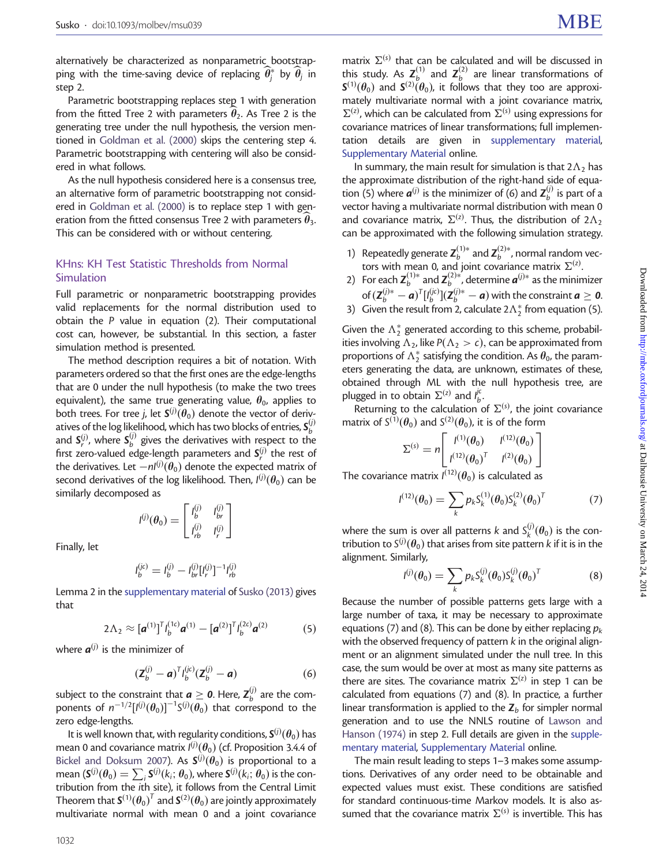alternatively be characterized as nonparametric bootstrapping with the time-saving device of replacing  $\widehat{\theta_j^*}$  by  $\widehat{\theta_j}$  in step 2.

Parametric bootstrapping replaces step 1 with generation from the fitted Tree 2 with parameters  $\theta_2$ . As Tree 2 is the generating tree under the null hypothesis, the version mentioned in [Goldman et al. \(2000\)](#page-10-0) skips the centering step 4. Parametric bootstrapping with centering will also be considered in what follows.

As the null hypothesis considered here is a consensus tree, an alternative form of parametric bootstrapping not considered in [Goldman et al. \(2000\)](#page-10-0) is to replace step 1 with generation from the fitted consensus Tree 2 with parameters  $\theta_3$ . This can be considered with or without centering.

#### KHns: KH Test Statistic Thresholds from Normal Simulation

Full parametric or nonparametric bootstrapping provides valid replacements for the normal distribution used to obtain the P value in equation (2). Their computational cost can, however, be substantial. In this section, a faster simulation method is presented.

The method description requires a bit of notation. With parameters ordered so that the first ones are the edge-lengths that are 0 under the null hypothesis (to make the two trees equivalent), the same true generating value,  $\theta_0$ , applies to both trees. For tree j, let  $\mathbf{S}^{(j)}(\theta_{0})$  denote the vector of derivatives of the log likelihood, which has two blocks of entries,  $\mathbf{S}^{(j)}_b$ and  $S_{\mu}^{(i)}$ , where  $S_{\mu}^{(i)}$  gives the derivatives with respect to the first zero-valued edge-length parameters and  $S_r^{(j)}$  the rest of the derivatives. Let  $-nl^{(j)}(\theta_0)$  denote the expected matrix of second derivatives of the log likelihood. Then,  $I^{(j)}(\boldsymbol{\theta}_0)$  can be similarly decomposed as

$$
I^{(j)}(\boldsymbol{\theta}_0) = \begin{bmatrix} I_b^{(j)} & I_{br}^{(j)} \\ I_{rb}^{(j)} & I_p^{(j)} \end{bmatrix}
$$

Finally, let

$$
I_b^{(jc)} = I_b^{(j)} - I_{br}^{(j)} [I_r^{(j)}]^{-1} I_{rb}^{(j)}
$$

Lemma 2 in the [supplementary material](http://mbe.oxfordjournals.org/lookup/suppl/doi:10.1093/molbev/msu039/-/DC1) of [Susko \(2013\)](#page-10-0) gives that

$$
2\Lambda_2 \approx [\boldsymbol{a}^{(1)}]^T l_b^{(1c)} \boldsymbol{a}^{(1)} - [\boldsymbol{a}^{(2)}]^T l_b^{(2c)} \boldsymbol{a}^{(2)} \tag{5}
$$

where  $a^{(j)}$  is the minimizer of

$$
(\mathbf{Z}_{b}^{(j)} - \mathbf{a})^T I_{b}^{(jc)}(\mathbf{Z}_{b}^{(j)} - \mathbf{a}) \tag{6}
$$

subject to the constraint that  $a \ge 0$ . Here,  $\mathsf{Z}_b^{(j)}$  are the components of  $n^{-1/2}[I^{(j)}(\theta_0)]^{-1}S^{(j)}(\theta_0)$  that correspond to the zero edge-lengths.

It is well known that, with regularity conditions,  $\mathsf{S}^{(j)}(\theta_0)$  has mean 0 and covariance matrix / ${}^{(j)}\!(\theta_0)$  (cf. Proposition 3.4.4 of [Bickel and Doksum 2007](#page-9-0)). As  $\mathbf{S}^{(j)}(\theta_0)$  is proportional to a mean  $(S^{(j)}(\theta_0) = \sum_i S^{(j)}(k_i; \theta_0)$ , where  $S^{(j)}(k_i; \theta_0)$  is the contribution from the ith site), it follows from the Central Limit Theorem that  $\boldsymbol{\mathsf{S}}^{(1)}(\boldsymbol{\theta}_0)^T$  and  $\boldsymbol{\mathsf{S}}^{(2)}(\boldsymbol{\theta}_0)$  are jointly approximately multivariate normal with mean 0 and a joint covariance

matrix  $\Sigma^{(s)}$  that can be calculated and will be discussed in this study. As  $\mathbb{Z}_b^{(1)}$  and  $\mathbb{Z}_b^{(2)}$  are linear transformations of  $\mathbf{S}^{(1)}(\theta_0)$  and  $\mathbf{S}^{(2)}(\theta_0)$ , it follows that they too are approximately multivariate normal with a joint covariance matrix,  $\Sigma^{(z)}$ , which can be calculated from  $\Sigma^{(s)}$  using expressions for covariance matrices of linear transformations; full implementation details are given in [supplementary material,](http://mbe.oxfordjournals.org/lookup/suppl/doi:10.1093/molbev/msu039/-/DC1) [Supplementary Material](http://mbe.oxfordjournals.org/lookup/suppl/doi:10.1093/molbev/msu039/-/DC1) online.

In summary, the main result for simulation is that  $2\Lambda_2$  has the approximate distribution of the right-hand side of equation (5) where  $\boldsymbol{a}^{(j)}$  is the minimizer of (6) and  $\mathbf{Z}_{b}^{(j)}$  is part of a vector having a multivariate normal distribution with mean 0 and covariance matrix,  $\Sigma^{(z)}$ . Thus, the distribution of  $2\Lambda_2$ can be approximated with the following simulation strategy.

- 1) Repeatedly generate  $\mathbb{Z}_b^{(1)*}$  and  $\mathbb{Z}_b^{(2)*}$ , normal random vectors with mean 0, and joint covariance matrix  $\Sigma^{(z)}$ .
- 2) For each  $\mathbb{Z}_b^{(1)*}$  and  $\mathbb{Z}_b^{(2)*}$ , determine  $\mathbf{a}^{(j)*}$  as the minimizer of  $(\mathbf{Z}_{b}^{(j)*} - \mathbf{a})^{\mathsf{T}} [I_{b}^{(jc)}](\mathbf{Z}_{b}^{(j)*} - \mathbf{a})$  with the constraint  $\mathbf{a} \geq \mathbf{0}$ .
- 3) Given the result from 2, calculate  $2\Lambda_2^*$  from equation (5).

Given the  $\Lambda_2^*$  generated according to this scheme, probabilities involving  $\Lambda_2$ , like  $P(\Lambda_2 > c)$ , can be approximated from proportions of  $\Lambda_2^*$  satisfying the condition. As  $\theta_0$ , the parameters generating the data, are unknown, estimates of these, obtained through ML with the null hypothesis tree, are plugged in to obtain  $\Sigma^{(z)}$  and  $I_b^{j_c}$ .

Returning to the calculation of  $\Sigma^{(s)}$ , the joint covariance matrix of  $S^{(1)}(\theta_0)$  and  $S^{(2)}(\theta_0)$ , it is of the form

$$
\Sigma^{(s)} = n \begin{bmatrix} l^{(1)}(\theta_0) & l^{(12)}(\theta_0) \\ l^{(12)}(\theta_0)^T & l^{(2)}(\theta_0) \end{bmatrix}
$$

The covariance matrix  $I^{(12)}(\theta_0)$  is calculated as

$$
I^{(12)}(\theta_0) = \sum_{k} p_k S_k^{(1)}(\theta_0) S_k^{(2)}(\theta_0)^T
$$
 (7)

where the sum is over all patterns k and  $S_k^{(j)}(\theta_0)$  is the contribution to  $\mathsf{S}^{(j)}(\theta_0)$  that arises from site pattern k if it is in the alignment. Similarly,

$$
I^{(j)}(\theta_0) = \sum_{k} p_k S_k^{(j)}(\theta_0) S_k^{(j)}(\theta_0)^T
$$
 (8)

Because the number of possible patterns gets large with a large number of taxa, it may be necessary to approximate equations (7) and (8). This can be done by either replacing  $p_k$ with the observed frequency of pattern k in the original alignment or an alignment simulated under the null tree. In this case, the sum would be over at most as many site patterns as there are sites. The covariance matrix  $\Sigma^{(z)}$  in step 1 can be calculated from equations (7) and (8). In practice, a further linear transformation is applied to the  $Z_b$  for simpler normal generation and to use the NNLS routine of [Lawson and](#page-10-0) [Hanson \(1974\)](#page-10-0) in step 2. Full details are given in the [supple](http://mbe.oxfordjournals.org/lookup/suppl/doi:10.1093/molbev/msu039/-/DC1)[mentary material](http://mbe.oxfordjournals.org/lookup/suppl/doi:10.1093/molbev/msu039/-/DC1), [Supplementary Material](http://mbe.oxfordjournals.org/lookup/suppl/doi:10.1093/molbev/msu039/-/DC1) online.

The main result leading to steps 1–3 makes some assumptions. Derivatives of any order need to be obtainable and expected values must exist. These conditions are satisfied for standard continuous-time Markov models. It is also assumed that the covariance matrix  $\Sigma^{(s)}$  is invertible. This has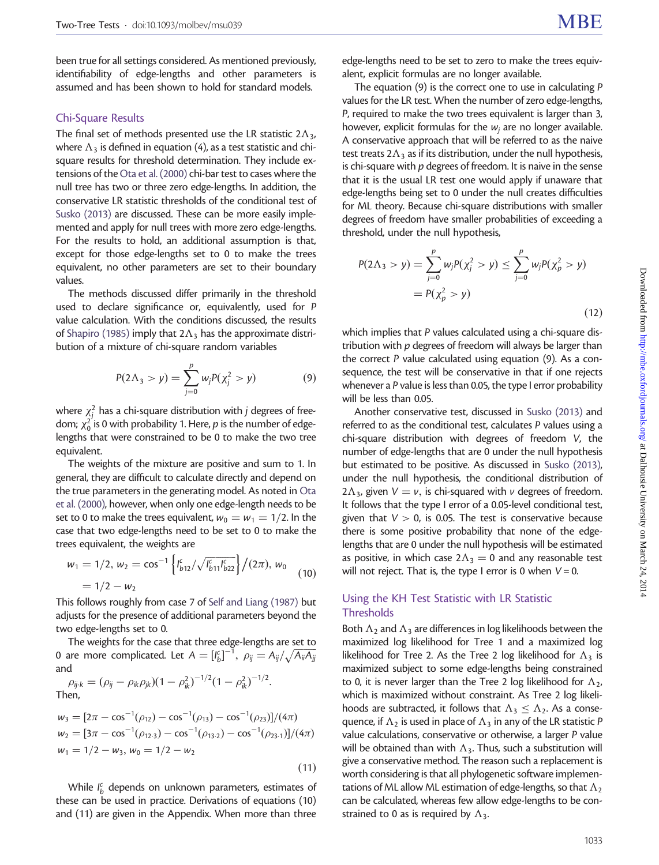been true for all settings considered. As mentioned previously, identifiability of edge-lengths and other parameters is assumed and has been shown to hold for standard models.

#### Chi-Square Results

The final set of methods presented use the LR statistic  $2\Lambda_3$ , where  $\Lambda_3$  is defined in equation (4), as a test statistic and chisquare results for threshold determination. They include extensions of the [Ota et al. \(2000\)](#page-10-0) chi-bar test to cases where the null tree has two or three zero edge-lengths. In addition, the conservative LR statistic thresholds of the conditional test of [Susko \(2013\)](#page-10-0) are discussed. These can be more easily implemented and apply for null trees with more zero edge-lengths. For the results to hold, an additional assumption is that, except for those edge-lengths set to 0 to make the trees equivalent, no other parameters are set to their boundary values.

The methods discussed differ primarily in the threshold used to declare significance or, equivalently, used for P value calculation. With the conditions discussed, the results of [Shapiro \(1985\)](#page-10-0) imply that  $2\Lambda_3$  has the approximate distribution of a mixture of chi-square random variables

$$
P(2\Lambda_3 > y) = \sum_{j=0}^{p} w_j P(\chi_j^2 > y)
$$
 (9)

where  $\chi^2_j$  has a chi-square distribution with  $j$  degrees of freedom;  $\chi_0^2$  is 0 with probability 1. Here, p is the number of edgelengths that were constrained to be 0 to make the two tree equivalent.

The weights of the mixture are positive and sum to 1. In general, they are difficult to calculate directly and depend on the true parameters in the generating model. As noted in [Ota](#page-10-0) [et al. \(2000\),](#page-10-0) however, when only one edge-length needs to be set to 0 to make the trees equivalent,  $w_0 = w_1 = 1/2$ . In the case that two edge-lengths need to be set to 0 to make the trees equivalent, the weights are

$$
w_1 = 1/2, w_2 = \cos^{-1}\left\{ \frac{1}{b_{12}} / \sqrt{\frac{1}{b_{11}} \frac{1}{b_{22}}} \right\} / (2\pi), w_0
$$
  
= 1/2 - w\_2 (10)

This follows roughly from case 7 of [Self and Liang \(1987\)](#page-10-0) but adjusts for the presence of additional parameters beyond the two edge-lengths set to 0.

The weights for the case that three edge-lengths are set to 0 are more complicated. Let  $A = [i_b^c]^{-1}$ ,  $\rho_{ij} = A_{ij}/\sqrt{A_{ii}A_{jj}}$ and

$$
\rho_{ij\cdot k} = (\rho_{ij} - \rho_{ik}\rho_{jk})(1 - \rho_{ik}^2)^{-1/2}(1 - \rho_{ik}^2)^{-1/2}.
$$
  
Then,

$$
w_3 = [2\pi - \cos^{-1}(\rho_{12}) - \cos^{-1}(\rho_{13}) - \cos^{-1}(\rho_{23})]/(4\pi)
$$
  
\n
$$
w_2 = [3\pi - \cos^{-1}(\rho_{12\cdot3}) - \cos^{-1}(\rho_{13\cdot2}) - \cos^{-1}(\rho_{23\cdot1})]/(4\pi)
$$
  
\n
$$
w_1 = 1/2 - w_3, w_0 = 1/2 - w_2
$$
\n(11)

While  $I_b^c$  depends on unknown parameters, estimates of these can be used in practice. Derivations of equations (10) and (11) are given in the Appendix. When more than three

edge-lengths need to be set to zero to make the trees equivalent, explicit formulas are no longer available.

The equation (9) is the correct one to use in calculating P values for the LR test. When the number of zero edge-lengths, P, required to make the two trees equivalent is larger than 3, however, explicit formulas for the  $w_i$  are no longer available. A conservative approach that will be referred to as the naive test treats  $2\Lambda_3$  as if its distribution, under the null hypothesis, is chi-square with  $p$  degrees of freedom. It is naive in the sense that it is the usual LR test one would apply if unaware that edge-lengths being set to 0 under the null creates difficulties for ML theory. Because chi-square distributions with smaller degrees of freedom have smaller probabilities of exceeding a threshold, under the null hypothesis,

$$
P(2\Lambda_3 > y) = \sum_{j=0}^{p} w_j P(\chi_j^2 > y) \le \sum_{j=0}^{p} w_j P(\chi_p^2 > y)
$$
  
=  $P(\chi_p^2 > y)$  (12)

which implies that P values calculated using a chi-square distribution with  $p$  degrees of freedom will always be larger than the correct P value calculated using equation (9). As a consequence, the test will be conservative in that if one rejects whenever a P value is less than 0.05, the type I error probability will be less than 0.05.

Another conservative test, discussed in [Susko \(2013\)](#page-10-0) and referred to as the conditional test, calculates P values using a chi-square distribution with degrees of freedom V, the number of edge-lengths that are 0 under the null hypothesis but estimated to be positive. As discussed in [Susko \(2013\),](#page-10-0) under the null hypothesis, the conditional distribution of  $2\Lambda_3$ , given  $V = v$ , is chi-squared with v degrees of freedom. It follows that the type I error of a 0.05-level conditional test, given that  $V > 0$ , is 0.05. The test is conservative because there is some positive probability that none of the edgelengths that are 0 under the null hypothesis will be estimated as positive, in which case  $2\Lambda_3 = 0$  and any reasonable test will not reject. That is, the type I error is 0 when  $V = 0$ .

#### Using the KH Test Statistic with LR Statistic **Thresholds**

Both  $\Lambda_2$  and  $\Lambda_3$  are differences in log likelihoods between the maximized log likelihood for Tree 1 and a maximized log likelihood for Tree 2. As the Tree 2 log likelihood for  $\Lambda_3$  is maximized subject to some edge-lengths being constrained to 0, it is never larger than the Tree 2 log likelihood for  $\Lambda_2$ , which is maximized without constraint. As Tree 2 log likelihoods are subtracted, it follows that  $\Lambda_3 \leq \Lambda_2$ . As a consequence, if  $\Lambda_2$  is used in place of  $\Lambda_3$  in any of the LR statistic P value calculations, conservative or otherwise, a larger P value will be obtained than with  $\Lambda_3$ . Thus, such a substitution will give a conservative method. The reason such a replacement is worth considering is that all phylogenetic software implementations of ML allow ML estimation of edge-lengths, so that  $\Lambda_2$ can be calculated, whereas few allow edge-lengths to be constrained to 0 as is required by  $\Lambda_3$ .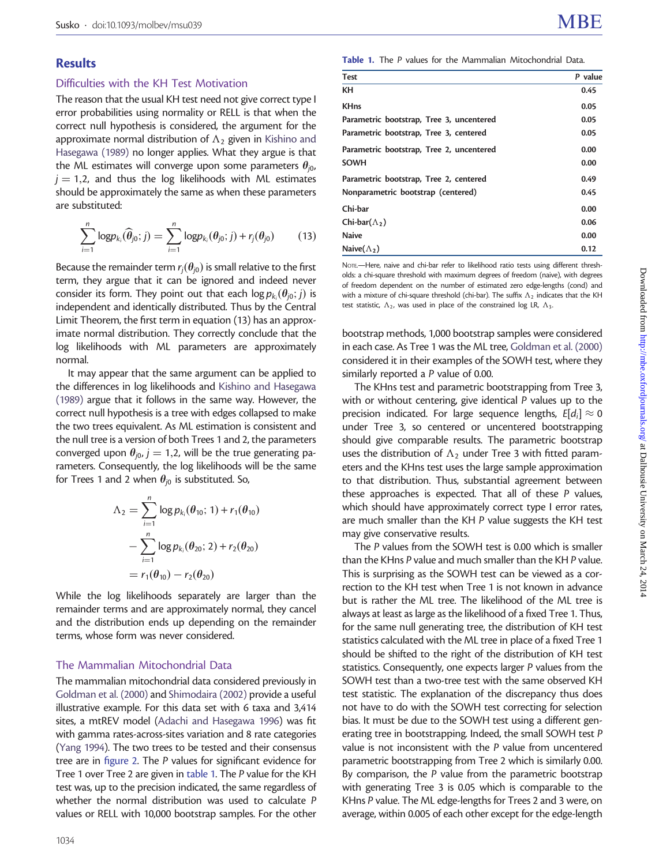## Results

#### Difficulties with the KH Test Motivation

The reason that the usual KH test need not give correct type I error probabilities using normality or RELL is that when the correct null hypothesis is considered, the argument for the approximate normal distribution of  $\Lambda_2$  given in [Kishino and](#page-10-0) [Hasegawa \(1989\)](#page-10-0) no longer applies. What they argue is that the ML estimates will converge upon some parameters  $\theta_{i0}$ ,  $j = 1,2$ , and thus the log likelihoods with ML estimates should be approximately the same as when these parameters are substituted:

$$
\sum_{i=1}^{n} \log p_{k_i}(\widehat{\theta}_{j0};j) = \sum_{i=1}^{n} \log p_{k_i}(\theta_{j0};j) + r_j(\theta_{j0})
$$
 (13)

Because the remainder term  $r_i(\theta_{i0})$  is small relative to the first term, they argue that it can be ignored and indeed never consider its form. They point out that each  $\log p_{k_i}(\theta_{j0};j)$  is independent and identically distributed. Thus by the Central Limit Theorem, the first term in equation (13) has an approximate normal distribution. They correctly conclude that the log likelihoods with ML parameters are approximately normal.

It may appear that the same argument can be applied to the differences in log likelihoods and [Kishino and Hasegawa](#page-10-0) [\(1989\)](#page-10-0) argue that it follows in the same way. However, the correct null hypothesis is a tree with edges collapsed to make the two trees equivalent. As ML estimation is consistent and the null tree is a version of both Trees 1 and 2, the parameters converged upon  $\theta_{j0}$ ,  $j = 1,2$ , will be the true generating parameters. Consequently, the log likelihoods will be the same for Trees 1 and 2 when  $\theta_{j0}$  is substituted. So,

$$
\begin{aligned} \Lambda_2 &= \sum_{i=1}^n \log p_{k_i}(\theta_{10}; 1) + r_1(\theta_{10}) \\ &- \sum_{i=1}^n \log p_{k_i}(\theta_{20}; 2) + r_2(\theta_{20}) \\ &= r_1(\theta_{10}) - r_2(\theta_{20}) \end{aligned}
$$

While the log likelihoods separately are larger than the remainder terms and are approximately normal, they cancel and the distribution ends up depending on the remainder terms, whose form was never considered.

#### The Mammalian Mitochondrial Data

The mammalian mitochondrial data considered previously in [Goldman et al. \(2000\)](#page-10-0) and [Shimodaira \(2002\)](#page-10-0) provide a useful illustrative example. For this data set with 6 taxa and 3,414 sites, a mtREV model ([Adachi and Hasegawa 1996](#page-9-0)) was fit with gamma rates-across-sites variation and 8 rate categories ([Yang 1994](#page-10-0)). The two trees to be tested and their consensus tree are in [figure 2.](#page-6-0) The P values for significant evidence for Tree 1 over Tree 2 are given in table 1. The P value for the KH test was, up to the precision indicated, the same regardless of whether the normal distribution was used to calculate P values or RELL with 10,000 bootstrap samples. For the other

| <b>Test</b>                              | P value |
|------------------------------------------|---------|
| KН                                       | 0.45    |
| <b>KHns</b>                              | 0.05    |
| Parametric bootstrap, Tree 3, uncentered | 0.05    |
| Parametric bootstrap, Tree 3, centered   | 0.05    |
| Parametric bootstrap, Tree 2, uncentered | 0.00    |
| <b>SOWH</b>                              | 0.00    |
| Parametric bootstrap, Tree 2, centered   | 0.49    |
| Nonparametric bootstrap (centered)       | 0.45    |
| Chi-bar                                  | 0.00    |
| Chi-bar $(\Lambda_2)$                    | 0.06    |
| <b>Naive</b>                             | 0.00    |
| Naive( $\Lambda_2$ )                     | 0.12    |

NOTE.—Here, naive and chi-bar refer to likelihood ratio tests using different thresholds: a chi-square threshold with maximum degrees of freedom (naive), with degrees of freedom dependent on the number of estimated zero edge-lengths (cond) and with a mixture of chi-square threshold (chi-bar). The suffix  $\Lambda_2$  indicates that the KH test statistic,  $\Lambda_2$ , was used in place of the constrained log LR,  $\Lambda_3$ .

bootstrap methods, 1,000 bootstrap samples were considered in each case. As Tree 1 was the ML tree, [Goldman et al. \(2000\)](#page-10-0) considered it in their examples of the SOWH test, where they similarly reported a P value of 0.00.

The KHns test and parametric bootstrapping from Tree 3, with or without centering, give identical P values up to the precision indicated. For large sequence lengths,  $E[d_i] \approx 0$ under Tree 3, so centered or uncentered bootstrapping should give comparable results. The parametric bootstrap uses the distribution of  $\Lambda_2$  under Tree 3 with fitted parameters and the KHns test uses the large sample approximation to that distribution. Thus, substantial agreement between these approaches is expected. That all of these  $P$  values, which should have approximately correct type I error rates, are much smaller than the KH P value suggests the KH test may give conservative results.

The P values from the SOWH test is 0.00 which is smaller than the KHns P value and much smaller than the KH P value. This is surprising as the SOWH test can be viewed as a correction to the KH test when Tree 1 is not known in advance but is rather the ML tree. The likelihood of the ML tree is always at least as large as the likelihood of a fixed Tree 1. Thus, for the same null generating tree, the distribution of KH test statistics calculated with the ML tree in place of a fixed Tree 1 should be shifted to the right of the distribution of KH test statistics. Consequently, one expects larger P values from the SOWH test than a two-tree test with the same observed KH test statistic. The explanation of the discrepancy thus does not have to do with the SOWH test correcting for selection bias. It must be due to the SOWH test using a different generating tree in bootstrapping. Indeed, the small SOWH test P value is not inconsistent with the  $P$  value from uncentered parametric bootstrapping from Tree 2 which is similarly 0.00. By comparison, the  $P$  value from the parametric bootstrap with generating Tree 3 is 0.05 which is comparable to the KHns P value. The ML edge-lengths for Trees 2 and 3 were, on average, within 0.005 of each other except for the edge-length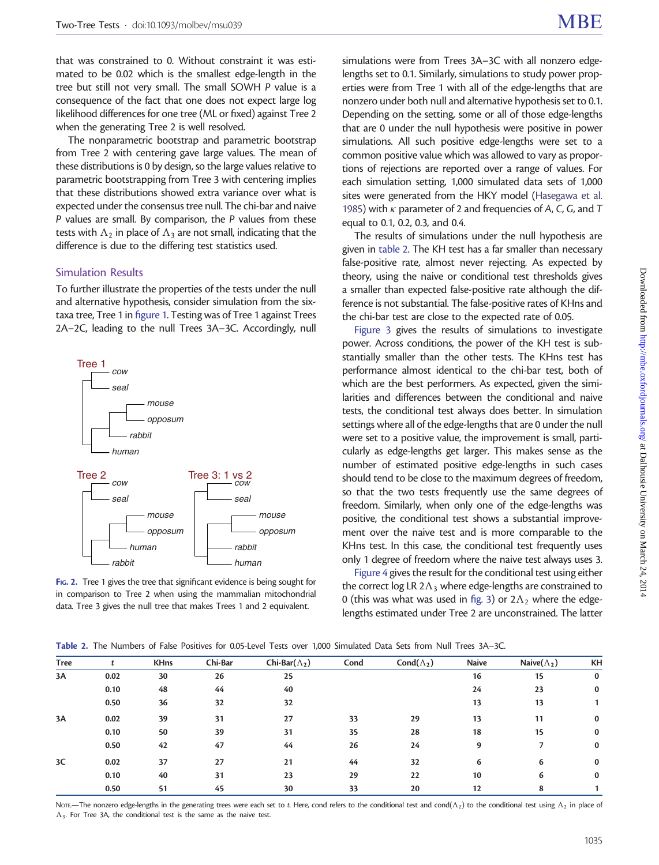<span id="page-6-0"></span>that was constrained to 0. Without constraint it was estimated to be 0.02 which is the smallest edge-length in the tree but still not very small. The small SOWH P value is a consequence of the fact that one does not expect large log likelihood differences for one tree (ML or fixed) against Tree 2 when the generating Tree 2 is well resolved.

The nonparametric bootstrap and parametric bootstrap from Tree 2 with centering gave large values. The mean of these distributions is 0 by design, so the large values relative to parametric bootstrapping from Tree 3 with centering implies that these distributions showed extra variance over what is expected under the consensus tree null. The chi-bar and naive P values are small. By comparison, the P values from these tests with  $\Lambda_2$  in place of  $\Lambda_3$  are not small, indicating that the difference is due to the differing test statistics used.

#### Simulation Results

To further illustrate the properties of the tests under the null and alternative hypothesis, consider simulation from the sixtaxa tree, Tree 1 in [figure 1.](#page-2-0) Testing was of Tree 1 against Trees 2A–2C, leading to the null Trees 3A–3C. Accordingly, null



FIG. 2. Tree 1 gives the tree that significant evidence is being sought for in comparison to Tree 2 when using the mammalian mitochondrial data. Tree 3 gives the null tree that makes Trees 1 and 2 equivalent.

simulations were from Trees 3A–3C with all nonzero edgelengths set to 0.1. Similarly, simulations to study power properties were from Tree 1 with all of the edge-lengths that are nonzero under both null and alternative hypothesis set to 0.1. Depending on the setting, some or all of those edge-lengths that are 0 under the null hypothesis were positive in power simulations. All such positive edge-lengths were set to a common positive value which was allowed to vary as proportions of rejections are reported over a range of values. For each simulation setting, 1,000 simulated data sets of 1,000 sites were generated from the HKY model ([Hasegawa et al.](#page-10-0) [1985\)](#page-10-0) with  $\kappa$  parameter of 2 and frequencies of A, C, G, and T equal to 0.1, 0.2, 0.3, and 0.4.

The results of simulations under the null hypothesis are given in table 2. The KH test has a far smaller than necessary false-positive rate, almost never rejecting. As expected by theory, using the naive or conditional test thresholds gives a smaller than expected false-positive rate although the difference is not substantial. The false-positive rates of KHns and the chi-bar test are close to the expected rate of 0.05.

[Figure 3](#page-7-0) gives the results of simulations to investigate power. Across conditions, the power of the KH test is substantially smaller than the other tests. The KHns test has performance almost identical to the chi-bar test, both of which are the best performers. As expected, given the similarities and differences between the conditional and naive tests, the conditional test always does better. In simulation settings where all of the edge-lengths that are 0 under the null were set to a positive value, the improvement is small, particularly as edge-lengths get larger. This makes sense as the number of estimated positive edge-lengths in such cases should tend to be close to the maximum degrees of freedom, so that the two tests frequently use the same degrees of freedom. Similarly, when only one of the edge-lengths was positive, the conditional test shows a substantial improvement over the naive test and is more comparable to the KHns test. In this case, the conditional test frequently uses only 1 degree of freedom where the naive test always uses 3.

[Figure 4](#page-8-0) gives the result for the conditional test using either the correct log LR  $2\Lambda_3$  where edge-lengths are constrained to 0 (this was what was used in [fig. 3](#page-7-0)) or  $2\Lambda$ <sub>2</sub> where the edgelengths estimated under Tree 2 are unconstrained. The latter

Table 2. The Numbers of False Positives for 0.05-Level Tests over 1,000 Simulated Data Sets from Null Trees 3A–3C.

| <b>Tree</b> |      | <b>KHns</b> | Chi-Bar | Chi-Bar $(\Lambda_2)$ | Cond | Cond $(\Lambda_2)$ | Naive | Naive $(\Lambda_2)$ | KH |
|-------------|------|-------------|---------|-----------------------|------|--------------------|-------|---------------------|----|
| 3A          | 0.02 | 30          | 26      | 25                    |      |                    | 16    | 15                  | 0  |
|             | 0.10 | 48          | 44      | 40                    |      |                    | 24    | 23                  | 0  |
|             | 0.50 | 36          | 32      | 32                    |      |                    | 13    | 13                  |    |
| 3A          | 0.02 | 39          | 31      | 27                    | 33   | 29                 | 13    | 11                  | 0  |
|             | 0.10 | 50          | 39      | 31                    | 35   | 28                 | 18    | 15                  | 0  |
|             | 0.50 | 42          | 47      | 44                    | 26   | 24                 | 9     |                     | 0  |
| 3C          | 0.02 | 37          | 27      | 21                    | 44   | 32                 | 6     | 6                   | 0  |
|             | 0.10 | 40          | 31      | 23                    | 29   | 22                 | 10    | 6                   | 0  |
|             | 0.50 | 51          | 45      | 30                    | 33   | 20                 | 12    | 8                   |    |

NOTE—The nonzero edge-lengths in the generating trees were each set to t. Here, cond refers to the conditional test and cond( $\Lambda_2$ ) to the conditional test using  $\Lambda_2$  in place of  $\Lambda_3$ . For Tree 3A, the conditional test is the same as the naive test.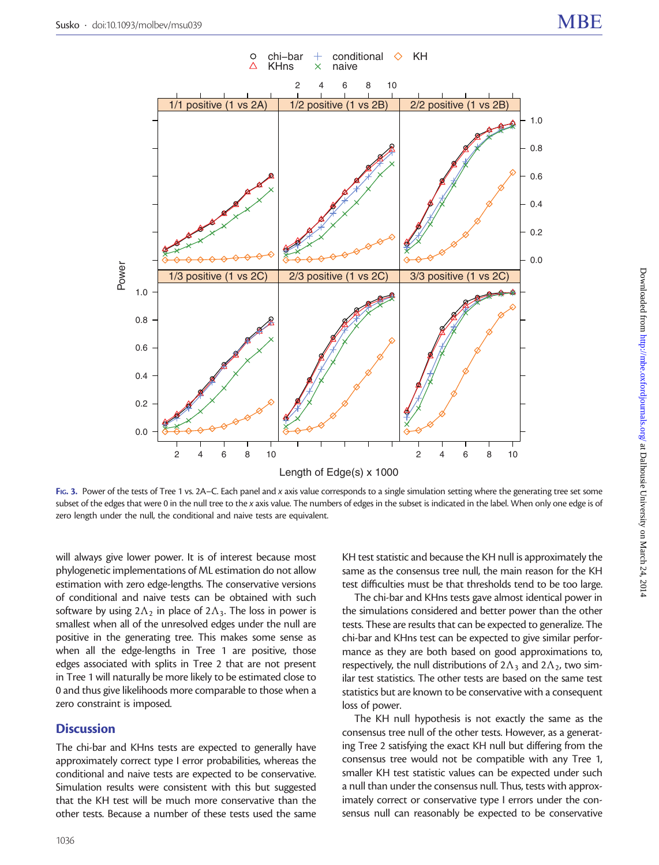<span id="page-7-0"></span>

FIG. 3. Power of the tests of Tree 1 vs. 2A–C. Each panel and x axis value corresponds to a single simulation setting where the generating tree set some subset of the edges that were 0 in the null tree to the x axis value. The numbers of edges in the subset is indicated in the label. When only one edge is of zero length under the null, the conditional and naive tests are equivalent.

will always give lower power. It is of interest because most phylogenetic implementations of ML estimation do not allow estimation with zero edge-lengths. The conservative versions of conditional and naive tests can be obtained with such software by using  $2\Lambda_2$  in place of  $2\Lambda_3$ . The loss in power is smallest when all of the unresolved edges under the null are positive in the generating tree. This makes some sense as when all the edge-lengths in Tree 1 are positive, those edges associated with splits in Tree 2 that are not present in Tree 1 will naturally be more likely to be estimated close to 0 and thus give likelihoods more comparable to those when a zero constraint is imposed.

#### **Discussion**

The chi-bar and KHns tests are expected to generally have approximately correct type I error probabilities, whereas the conditional and naive tests are expected to be conservative. Simulation results were consistent with this but suggested that the KH test will be much more conservative than the other tests. Because a number of these tests used the same

KH test statistic and because the KH null is approximately the same as the consensus tree null, the main reason for the KH test difficulties must be that thresholds tend to be too large.

The chi-bar and KHns tests gave almost identical power in the simulations considered and better power than the other tests. These are results that can be expected to generalize. The chi-bar and KHns test can be expected to give similar performance as they are both based on good approximations to, respectively, the null distributions of  $2\Lambda_3$  and  $2\Lambda_2$ , two similar test statistics. The other tests are based on the same test statistics but are known to be conservative with a consequent loss of power.

The KH null hypothesis is not exactly the same as the consensus tree null of the other tests. However, as a generating Tree 2 satisfying the exact KH null but differing from the consensus tree would not be compatible with any Tree 1, smaller KH test statistic values can be expected under such a null than under the consensus null. Thus, tests with approximately correct or conservative type I errors under the consensus null can reasonably be expected to be conservative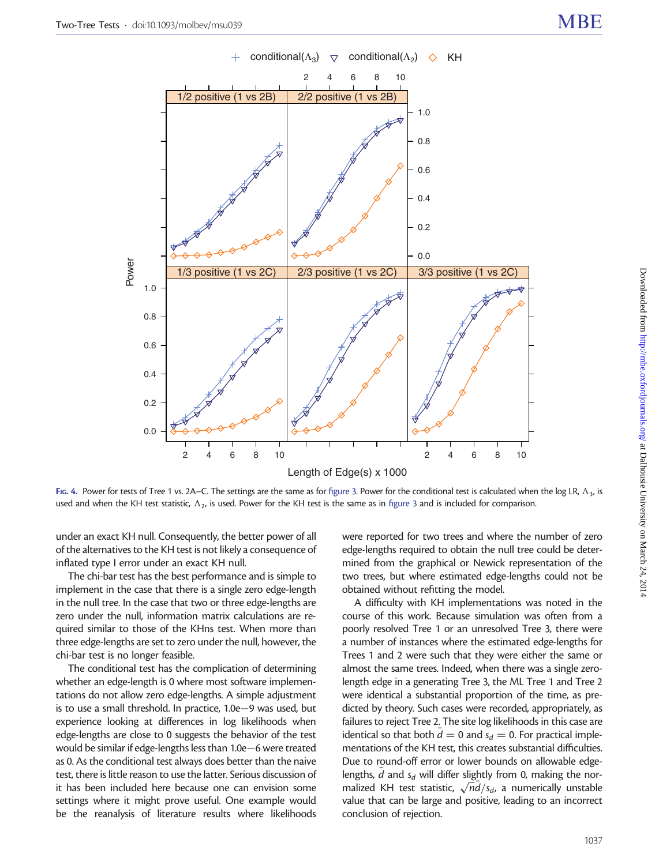<span id="page-8-0"></span>

FIG. 4. Power for tests of Tree 1 vs. 2A–C. The settings are the same as for [figure 3.](#page-7-0) Power for the conditional test is calculated when the log LR,  $\Lambda_3$ , is used and when the KH test statistic,  $\Lambda_2$ , is used. Power for the KH test is the same as in [figure 3](#page-7-0) and is included for comparison.

under an exact KH null. Consequently, the better power of all of the alternatives to the KH test is not likely a consequence of inflated type I error under an exact KH null.

The chi-bar test has the best performance and is simple to implement in the case that there is a single zero edge-length in the null tree. In the case that two or three edge-lengths are zero under the null, information matrix calculations are required similar to those of the KHns test. When more than three edge-lengths are set to zero under the null, however, the chi-bar test is no longer feasible.

The conditional test has the complication of determining whether an edge-length is 0 where most software implementations do not allow zero edge-lengths. A simple adjustment is to use a small threshold. In practice, 1.0e-9 was used, but experience looking at differences in log likelihoods when edge-lengths are close to 0 suggests the behavior of the test would be similar if edge-lengths less than 1.0e $-$ 6 were treated as 0. As the conditional test always does better than the naive test, there is little reason to use the latter. Serious discussion of it has been included here because one can envision some settings where it might prove useful. One example would be the reanalysis of literature results where likelihoods

were reported for two trees and where the number of zero edge-lengths required to obtain the null tree could be determined from the graphical or Newick representation of the two trees, but where estimated edge-lengths could not be obtained without refitting the model.

A difficulty with KH implementations was noted in the course of this work. Because simulation was often from a poorly resolved Tree 1 or an unresolved Tree 3, there were a number of instances where the estimated edge-lengths for Trees 1 and 2 were such that they were either the same or almost the same trees. Indeed, when there was a single zerolength edge in a generating Tree 3, the ML Tree 1 and Tree 2 were identical a substantial proportion of the time, as predicted by theory. Such cases were recorded, appropriately, as failures to reject Tree 2. The site log likelihoods in this case are identical so that both  $\bar{d} = 0$  and  $s_d = 0$ . For practical implementations of the KH test, this creates substantial difficulties. Due to round-off error or lower bounds on allowable edgelengths,  $\bar{d}$  and s<sub>d</sub> will differ slightly from 0, making the noreingins, *a* and s<sub>d</sub> will differ slightly from 0, making the nor-<br>malized KH test statistic,  $\sqrt{n}d/s_d$ , a numerically unstable value that can be large and positive, leading to an incorrect conclusion of rejection.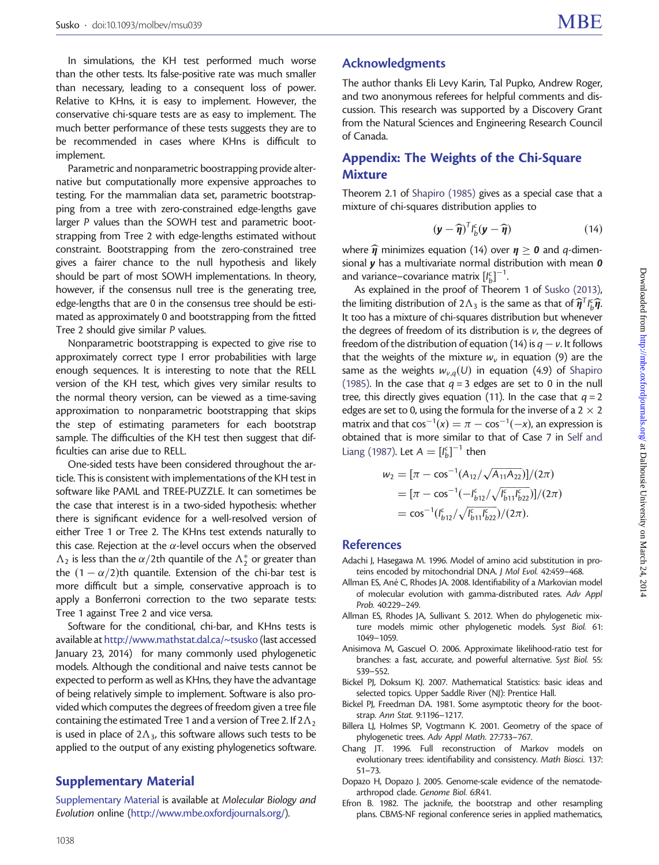<span id="page-9-0"></span>In simulations, the KH test performed much worse than the other tests. Its false-positive rate was much smaller than necessary, leading to a consequent loss of power. Relative to KHns, it is easy to implement. However, the conservative chi-square tests are as easy to implement. The much better performance of these tests suggests they are to be recommended in cases where KHns is difficult to implement.

Parametric and nonparametric boostrapping provide alternative but computationally more expensive approaches to testing. For the mammalian data set, parametric bootstrapping from a tree with zero-constrained edge-lengths gave larger P values than the SOWH test and parametric bootstrapping from Tree 2 with edge-lengths estimated without constraint. Bootstrapping from the zero-constrained tree gives a fairer chance to the null hypothesis and likely should be part of most SOWH implementations. In theory, however, if the consensus null tree is the generating tree, edge-lengths that are 0 in the consensus tree should be estimated as approximately 0 and bootstrapping from the fitted Tree 2 should give similar P values.

Nonparametric bootstrapping is expected to give rise to approximately correct type I error probabilities with large enough sequences. It is interesting to note that the RELL version of the KH test, which gives very similar results to the normal theory version, can be viewed as a time-saving approximation to nonparametric bootstrapping that skips the step of estimating parameters for each bootstrap sample. The difficulties of the KH test then suggest that difficulties can arise due to RELL.

One-sided tests have been considered throughout the article. This is consistent with implementations of the KH test in software like PAML and TREE-PUZZLE. It can sometimes be the case that interest is in a two-sided hypothesis: whether there is significant evidence for a well-resolved version of either Tree 1 or Tree 2. The KHns test extends naturally to this case. Rejection at the  $\alpha$ -level occurs when the observed  $\Lambda_2$  is less than the  $\alpha/2$ th quantile of the  $\Lambda_2^*$  or greater than the  $(1 - \alpha/2)$ th quantile. Extension of the chi-bar test is more difficult but a simple, conservative approach is to apply a Bonferroni correction to the two separate tests: Tree 1 against Tree 2 and vice versa.

Software for the conditional, chi-bar, and KHns tests is available at <http://www.mathstat.dal.ca/~tsusko> (last accessed January 23, 2014) for many commonly used phylogenetic models. Although the conditional and naive tests cannot be expected to perform as well as KHns, they have the advantage of being relatively simple to implement. Software is also provided which computes the degrees of freedom given a tree file containing the estimated Tree 1 and a version of Tree 2. If  $2\Lambda_2$ is used in place of  $2\Lambda_3$ , this software allows such tests to be applied to the output of any existing phylogenetics software.

#### Supplementary Material

[Supplementary Material](http://mbe.oxfordjournals.org/lookup/suppl/doi:10.1093/molbev/msu039/-/DC1) is available at Molecular Biology and Evolution online [\(http://www.mbe.oxfordjournals.org/](http://www.mbe.oxfordjournals.org/)).

# Acknowledgments

The author thanks Eli Levy Karin, Tal Pupko, Andrew Roger, and two anonymous referees for helpful comments and discussion. This research was supported by a Discovery Grant from the Natural Sciences and Engineering Research Council of Canada.

# Appendix: The Weights of the Chi-Square **Mixture**

Theorem 2.1 of [Shapiro \(1985\)](#page-10-0) gives as a special case that a mixture of chi-squares distribution applies to

$$
(\mathbf{y} - \widehat{\boldsymbol{\eta}})^T I_b^c (\mathbf{y} - \widehat{\boldsymbol{\eta}}) \tag{14}
$$

where  $\hat{\boldsymbol{\eta}}$  minimizes equation (14) over  $\boldsymbol{\eta} > \boldsymbol{0}$  and q-dimensional **y** has a multivariate normal distribution with mean **0** and variance–covariance matrix  $[l_b^c]^{-1}$ .

As explained in the proof of Theorem 1 of [Susko \(2013\),](#page-10-0) the limiting distribution of 2 $\Lambda_3$  is the same as that of  $\hat{\eta}^T I_b^c \hat{\eta}$ . It too has a mixture of chi-squares distribution but whenever the degrees of freedom of its distribution is v, the degrees of freedom of the distribution of equation (14) is  $q - \nu$ . It follows that the weights of the mixture  $w<sub>v</sub>$  in equation (9) are the same as the weights  $w_{v,q}(U)$  in equation (4.9) of [Shapiro](#page-10-0) [\(1985\).](#page-10-0) In the case that  $q = 3$  edges are set to 0 in the null tree, this directly gives equation (11). In the case that  $q = 2$ edges are set to 0, using the formula for the inverse of a 2  $\times$  2 matrix and that  $\cos^{-1}(x) = \pi - \cos^{-1}(-x)$ , an expression is obtained that is more similar to that of Case 7 in [Self and](#page-10-0) [Liang \(1987\)](#page-10-0). Let  $A = [I_b^c]^{-1}$  then

$$
w_2 = [\pi - \cos^{-1}(A_{12}/\sqrt{A_{11}A_{22}})]/(2\pi)
$$
  
= [\pi - \cos^{-1}(-\int\_{b\_{12}}^{c}/\sqrt{\int\_{b\_{11}}^{c}/\int\_{b\_{22}}^{c})}]/(2\pi)  
= \cos^{-1}(\int\_{b\_{12}}^{c}/\sqrt{\int\_{b\_{11}}^{c}/\int\_{b\_{22}}^{c})}/(2\pi).

#### References

Adachi J, Hasegawa M. 1996. Model of amino acid substitution in proteins encoded by mitochondrial DNA. J Mol Evol. 42:459–468.

- Allman ES, Ané C, Rhodes JA. 2008. Identifiability of a Markovian model of molecular evolution with gamma-distributed rates. Adv Appl Prob. 40:229–249.
- Allman ES, Rhodes JA, Sullivant S. 2012. When do phylogenetic mixture models mimic other phylogenetic models. Syst Biol. 61: 1049–1059.
- Anisimova M, Gascuel O. 2006. Approximate likelihood-ratio test for branches: a fast, accurate, and powerful alternative. Syst Biol. 55: 539–552.
- Bickel PJ, Doksum KJ. 2007. Mathematical Statistics: basic ideas and selected topics. Upper Saddle River (NJ): Prentice Hall.
- Bickel PJ, Freedman DA. 1981. Some asymptotic theory for the bootstrap. Ann Stat. 9:1196–1217.
- Billera LJ, Holmes SP, Vogtmann K. 2001. Geometry of the space of phylogenetic trees. Adv Appl Math. 27:733–767.
- Chang JT. 1996. Full reconstruction of Markov models on evolutionary trees: identifiability and consistency. Math Biosci. 137: 51–73.
- Dopazo H, Dopazo J. 2005. Genome-scale evidence of the nematodearthropod clade. Genome Biol. 6:R41.
- Efron B. 1982. The jacknife, the bootstrap and other resampling plans. CBMS-NF regional conference series in applied mathematics,